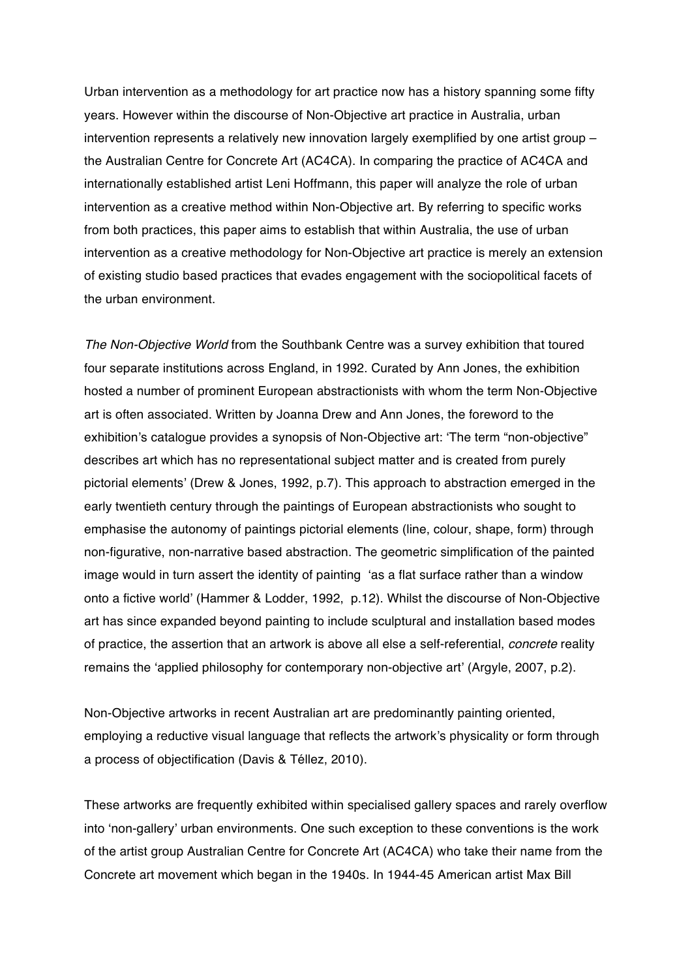Urban intervention as a methodology for art practice now has a history spanning some fifty years. However within the discourse of Non-Objective art practice in Australia, urban intervention represents a relatively new innovation largely exemplified by one artist group – the Australian Centre for Concrete Art (AC4CA). In comparing the practice of AC4CA and internationally established artist Leni Hoffmann, this paper will analyze the role of urban intervention as a creative method within Non-Objective art. By referring to specific works from both practices, this paper aims to establish that within Australia, the use of urban intervention as a creative methodology for Non-Objective art practice is merely an extension of existing studio based practices that evades engagement with the sociopolitical facets of the urban environment.

*The Non-Objective World* from the Southbank Centre was a survey exhibition that toured four separate institutions across England, in 1992. Curated by Ann Jones, the exhibition hosted a number of prominent European abstractionists with whom the term Non-Objective art is often associated. Written by Joanna Drew and Ann Jones, the foreword to the exhibition's catalogue provides a synopsis of Non-Objective art: 'The term "non-objective" describes art which has no representational subject matter and is created from purely pictorial elements' (Drew & Jones, 1992, p.7). This approach to abstraction emerged in the early twentieth century through the paintings of European abstractionists who sought to emphasise the autonomy of paintings pictorial elements (line, colour, shape, form) through non-figurative, non-narrative based abstraction. The geometric simplification of the painted image would in turn assert the identity of painting 'as a flat surface rather than a window onto a fictive world' (Hammer & Lodder, 1992, p.12). Whilst the discourse of Non-Objective art has since expanded beyond painting to include sculptural and installation based modes of practice, the assertion that an artwork is above all else a self-referential, *concrete* reality remains the 'applied philosophy for contemporary non-objective art' (Argyle, 2007, p.2).

Non-Objective artworks in recent Australian art are predominantly painting oriented, employing a reductive visual language that reflects the artwork's physicality or form through a process of objectification (Davis & Téllez, 2010).

These artworks are frequently exhibited within specialised gallery spaces and rarely overflow into 'non-gallery' urban environments. One such exception to these conventions is the work of the artist group Australian Centre for Concrete Art (AC4CA) who take their name from the Concrete art movement which began in the 1940s. In 1944-45 American artist Max Bill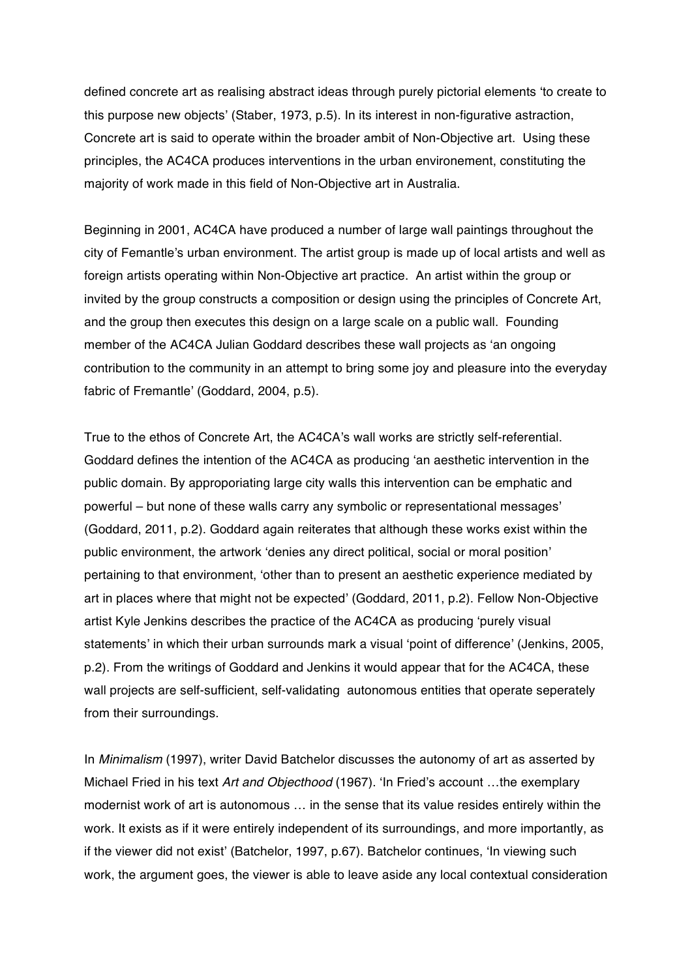defined concrete art as realising abstract ideas through purely pictorial elements 'to create to this purpose new objects' (Staber, 1973, p.5). In its interest in non-figurative astraction, Concrete art is said to operate within the broader ambit of Non-Objective art. Using these principles, the AC4CA produces interventions in the urban environement, constituting the majority of work made in this field of Non-Objective art in Australia.

Beginning in 2001, AC4CA have produced a number of large wall paintings throughout the city of Femantle's urban environment. The artist group is made up of local artists and well as foreign artists operating within Non-Objective art practice. An artist within the group or invited by the group constructs a composition or design using the principles of Concrete Art, and the group then executes this design on a large scale on a public wall. Founding member of the AC4CA Julian Goddard describes these wall projects as 'an ongoing contribution to the community in an attempt to bring some joy and pleasure into the everyday fabric of Fremantle' (Goddard, 2004, p.5).

True to the ethos of Concrete Art, the AC4CA's wall works are strictly self-referential. Goddard defines the intention of the AC4CA as producing 'an aesthetic intervention in the public domain. By approporiating large city walls this intervention can be emphatic and powerful – but none of these walls carry any symbolic or representational messages' (Goddard, 2011, p.2). Goddard again reiterates that although these works exist within the public environment, the artwork 'denies any direct political, social or moral position' pertaining to that environment, 'other than to present an aesthetic experience mediated by art in places where that might not be expected' (Goddard, 2011, p.2). Fellow Non-Objective artist Kyle Jenkins describes the practice of the AC4CA as producing 'purely visual statements' in which their urban surrounds mark a visual 'point of difference' (Jenkins, 2005, p.2). From the writings of Goddard and Jenkins it would appear that for the AC4CA, these wall projects are self-sufficient, self-validating autonomous entities that operate seperately from their surroundings.

In *Minimalism* (1997), writer David Batchelor discusses the autonomy of art as asserted by Michael Fried in his text *Art and Objecthood* (1967). 'In Fried's account …the exemplary modernist work of art is autonomous … in the sense that its value resides entirely within the work. It exists as if it were entirely independent of its surroundings, and more importantly, as if the viewer did not exist' (Batchelor, 1997, p.67). Batchelor continues, 'In viewing such work, the argument goes, the viewer is able to leave aside any local contextual consideration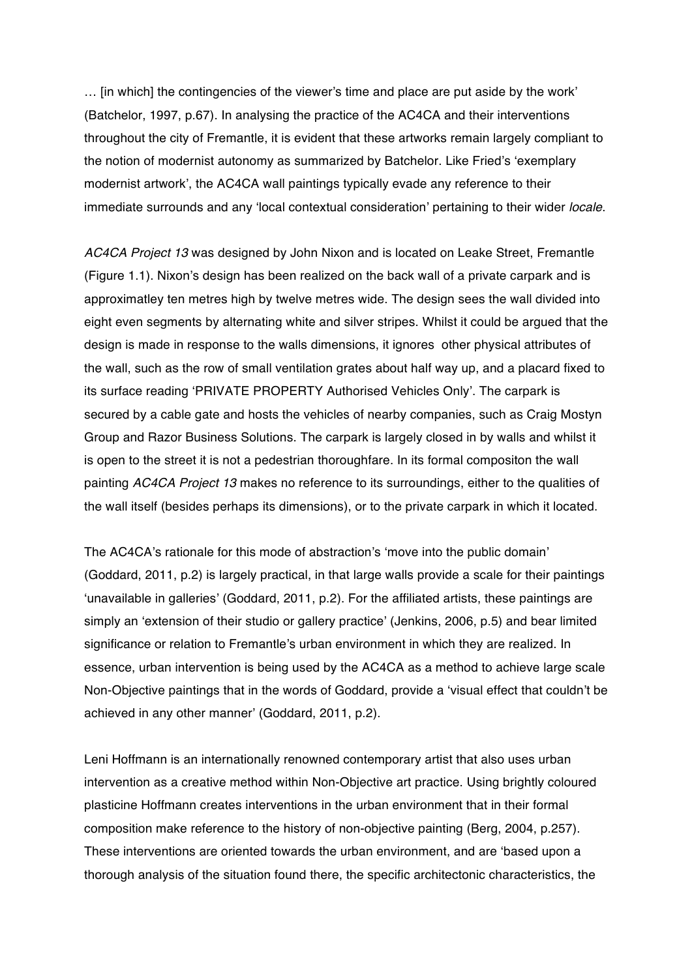… [in which] the contingencies of the viewer's time and place are put aside by the work' (Batchelor, 1997, p.67). In analysing the practice of the AC4CA and their interventions throughout the city of Fremantle, it is evident that these artworks remain largely compliant to the notion of modernist autonomy as summarized by Batchelor. Like Fried's 'exemplary modernist artwork', the AC4CA wall paintings typically evade any reference to their immediate surrounds and any 'local contextual consideration' pertaining to their wider *locale*.

*AC4CA Project 13* was designed by John Nixon and is located on Leake Street, Fremantle (Figure 1.1). Nixon's design has been realized on the back wall of a private carpark and is approximatley ten metres high by twelve metres wide. The design sees the wall divided into eight even segments by alternating white and silver stripes. Whilst it could be argued that the design is made in response to the walls dimensions, it ignores other physical attributes of the wall, such as the row of small ventilation grates about half way up, and a placard fixed to its surface reading 'PRIVATE PROPERTY Authorised Vehicles Only'. The carpark is secured by a cable gate and hosts the vehicles of nearby companies, such as Craig Mostyn Group and Razor Business Solutions. The carpark is largely closed in by walls and whilst it is open to the street it is not a pedestrian thoroughfare. In its formal compositon the wall painting *AC4CA Project 13* makes no reference to its surroundings, either to the qualities of the wall itself (besides perhaps its dimensions), or to the private carpark in which it located.

The AC4CA's rationale for this mode of abstraction's 'move into the public domain' (Goddard, 2011, p.2) is largely practical, in that large walls provide a scale for their paintings 'unavailable in galleries' (Goddard, 2011, p.2). For the affiliated artists, these paintings are simply an 'extension of their studio or gallery practice' (Jenkins, 2006, p.5) and bear limited significance or relation to Fremantle's urban environment in which they are realized. In essence, urban intervention is being used by the AC4CA as a method to achieve large scale Non-Objective paintings that in the words of Goddard, provide a 'visual effect that couldn't be achieved in any other manner' (Goddard, 2011, p.2).

Leni Hoffmann is an internationally renowned contemporary artist that also uses urban intervention as a creative method within Non-Objective art practice. Using brightly coloured plasticine Hoffmann creates interventions in the urban environment that in their formal composition make reference to the history of non-objective painting (Berg, 2004, p.257). These interventions are oriented towards the urban environment, and are 'based upon a thorough analysis of the situation found there, the specific architectonic characteristics, the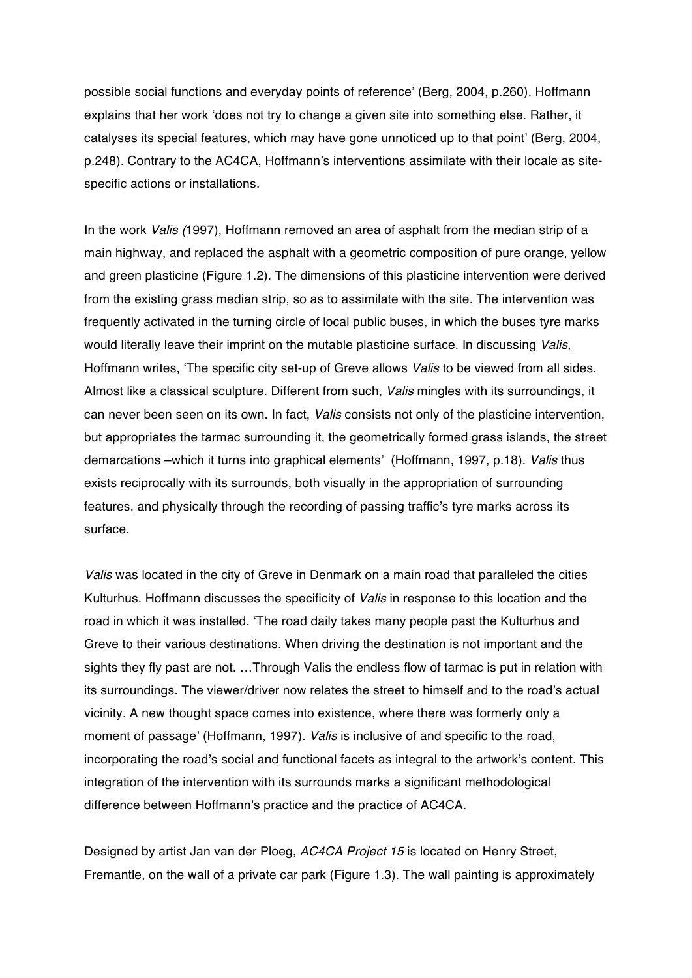possible social functions and everyday points of reference' (Berg, 2004, p.260). Hoffmann explains that her work 'does not try to change a given site into something else. Rather, it catalyses its special features, which may have gone unnoticed up to that point' (Berg, 2004, p.248). Contrary to the AC4CA, Hoffmann's interventions assimilate with their locale as sitespecific actions or installations.

In the work *Valis (*1997), Hoffmann removed an area of asphalt from the median strip of a main highway, and replaced the asphalt with a geometric composition of pure orange, yellow and green plasticine (Figure 1.2). The dimensions of this plasticine intervention were derived from the existing grass median strip, so as to assimilate with the site. The intervention was frequently activated in the turning circle of local public buses, in which the buses tyre marks would literally leave their imprint on the mutable plasticine surface. In discussing *Valis*, Hoffmann writes, 'The specific city set-up of Greve allows *Valis* to be viewed from all sides. Almost like a classical sculpture. Different from such, *Valis* mingles with its surroundings, it can never been seen on its own. In fact, *Valis* consists not only of the plasticine intervention, but appropriates the tarmac surrounding it, the geometrically formed grass islands, the street demarcations –which it turns into graphical elements' (Hoffmann, 1997, p.18). *Valis* thus exists reciprocally with its surrounds, both visually in the appropriation of surrounding features, and physically through the recording of passing traffic's tyre marks across its surface.

*Valis* was located in the city of Greve in Denmark on a main road that paralleled the cities Kulturhus. Hoffmann discusses the specificity of *Valis* in response to this location and the road in which it was installed. 'The road daily takes many people past the Kulturhus and Greve to their various destinations. When driving the destination is not important and the sights they fly past are not. …Through Valis the endless flow of tarmac is put in relation with its surroundings. The viewer/driver now relates the street to himself and to the road's actual vicinity. A new thought space comes into existence, where there was formerly only a moment of passage' (Hoffmann, 1997). *Valis* is inclusive of and specific to the road, incorporating the road's social and functional facets as integral to the artwork's content. This integration of the intervention with its surrounds marks a significant methodological difference between Hoffmann's practice and the practice of AC4CA.

Designed by artist Jan van der Ploeg, *AC4CA Project 15* is located on Henry Street, Fremantle, on the wall of a private car park (Figure 1.3). The wall painting is approximately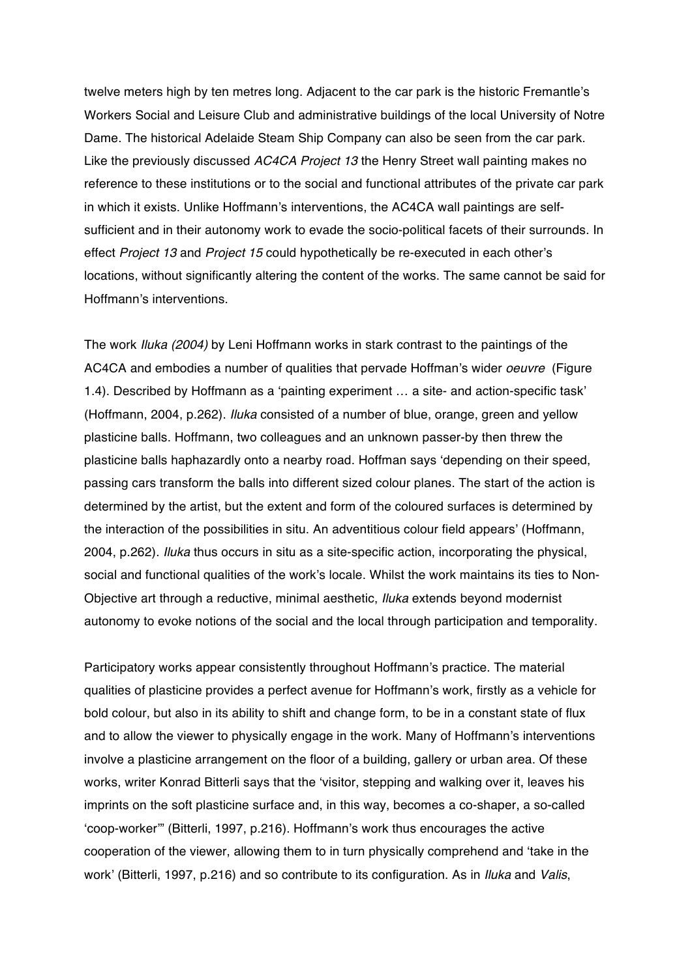twelve meters high by ten metres long. Adjacent to the car park is the historic Fremantle's Workers Social and Leisure Club and administrative buildings of the local University of Notre Dame. The historical Adelaide Steam Ship Company can also be seen from the car park. Like the previously discussed *AC4CA Project 13* the Henry Street wall painting makes no reference to these institutions or to the social and functional attributes of the private car park in which it exists. Unlike Hoffmann's interventions, the AC4CA wall paintings are selfsufficient and in their autonomy work to evade the socio-political facets of their surrounds. In effect *Project 13* and *Project 15* could hypothetically be re-executed in each other's locations, without significantly altering the content of the works. The same cannot be said for Hoffmann's interventions.

The work *Iluka (2004)* by Leni Hoffmann works in stark contrast to the paintings of the AC4CA and embodies a number of qualities that pervade Hoffman's wider *oeuvre* (Figure 1.4). Described by Hoffmann as a 'painting experiment … a site- and action-specific task' (Hoffmann, 2004, p.262). *Iluka* consisted of a number of blue, orange, green and yellow plasticine balls. Hoffmann, two colleagues and an unknown passer-by then threw the plasticine balls haphazardly onto a nearby road. Hoffman says 'depending on their speed, passing cars transform the balls into different sized colour planes. The start of the action is determined by the artist, but the extent and form of the coloured surfaces is determined by the interaction of the possibilities in situ. An adventitious colour field appears' (Hoffmann, 2004, p.262). *Iluka* thus occurs in situ as a site-specific action, incorporating the physical, social and functional qualities of the work's locale. Whilst the work maintains its ties to Non-Objective art through a reductive, minimal aesthetic, *Iluka* extends beyond modernist autonomy to evoke notions of the social and the local through participation and temporality.

Participatory works appear consistently throughout Hoffmann's practice. The material qualities of plasticine provides a perfect avenue for Hoffmann's work, firstly as a vehicle for bold colour, but also in its ability to shift and change form, to be in a constant state of flux and to allow the viewer to physically engage in the work. Many of Hoffmann's interventions involve a plasticine arrangement on the floor of a building, gallery or urban area. Of these works, writer Konrad Bitterli says that the 'visitor, stepping and walking over it, leaves his imprints on the soft plasticine surface and, in this way, becomes a co-shaper, a so-called 'coop-worker'" (Bitterli, 1997, p.216). Hoffmann's work thus encourages the active cooperation of the viewer, allowing them to in turn physically comprehend and 'take in the work' (Bitterli, 1997, p.216) and so contribute to its configuration. As in *Iluka* and *Valis*,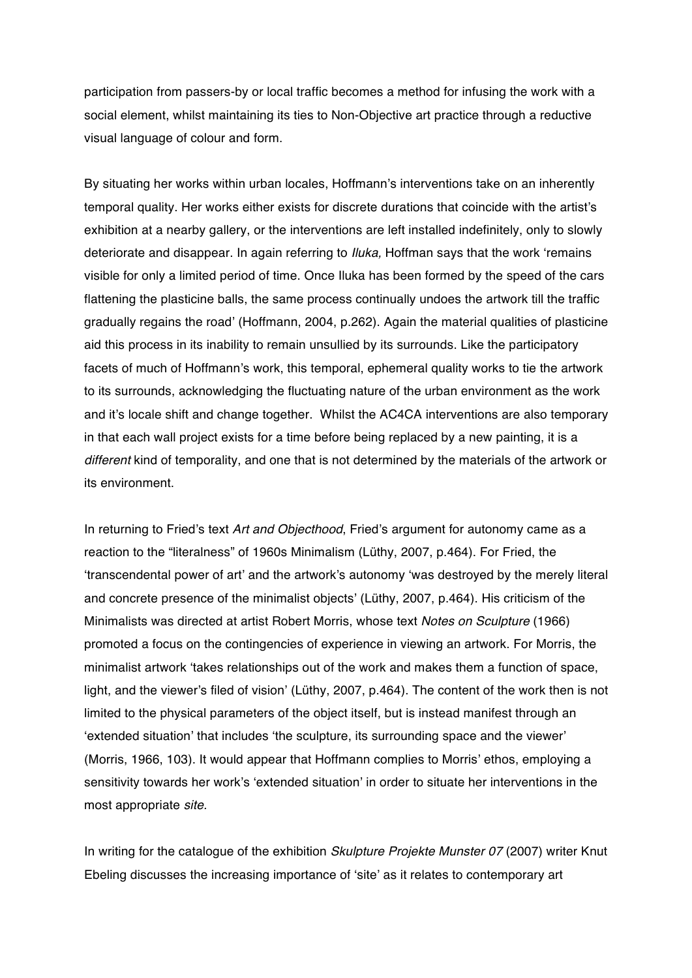participation from passers-by or local traffic becomes a method for infusing the work with a social element, whilst maintaining its ties to Non-Objective art practice through a reductive visual language of colour and form.

By situating her works within urban locales, Hoffmann's interventions take on an inherently temporal quality. Her works either exists for discrete durations that coincide with the artist's exhibition at a nearby gallery, or the interventions are left installed indefinitely, only to slowly deteriorate and disappear. In again referring to *Iluka,* Hoffman says that the work 'remains visible for only a limited period of time. Once Iluka has been formed by the speed of the cars flattening the plasticine balls, the same process continually undoes the artwork till the traffic gradually regains the road' (Hoffmann, 2004, p.262). Again the material qualities of plasticine aid this process in its inability to remain unsullied by its surrounds. Like the participatory facets of much of Hoffmann's work, this temporal, ephemeral quality works to tie the artwork to its surrounds, acknowledging the fluctuating nature of the urban environment as the work and it's locale shift and change together. Whilst the AC4CA interventions are also temporary in that each wall project exists for a time before being replaced by a new painting, it is a *different* kind of temporality, and one that is not determined by the materials of the artwork or its environment.

In returning to Fried's text *Art and Objecthood*, Fried's argument for autonomy came as a reaction to the "literalness" of 1960s Minimalism (Lüthy, 2007, p.464). For Fried, the 'transcendental power of art' and the artwork's autonomy 'was destroyed by the merely literal and concrete presence of the minimalist objects' (Lüthy, 2007, p.464). His criticism of the Minimalists was directed at artist Robert Morris, whose text *Notes on Sculpture* (1966) promoted a focus on the contingencies of experience in viewing an artwork. For Morris, the minimalist artwork 'takes relationships out of the work and makes them a function of space, light, and the viewer's filed of vision' (Lüthy, 2007, p.464). The content of the work then is not limited to the physical parameters of the object itself, but is instead manifest through an 'extended situation' that includes 'the sculpture, its surrounding space and the viewer' (Morris, 1966, 103). It would appear that Hoffmann complies to Morris' ethos, employing a sensitivity towards her work's 'extended situation' in order to situate her interventions in the most appropriate *site.*

In writing for the catalogue of the exhibition *Skulpture Projekte Munster 07* (2007) writer Knut Ebeling discusses the increasing importance of 'site' as it relates to contemporary art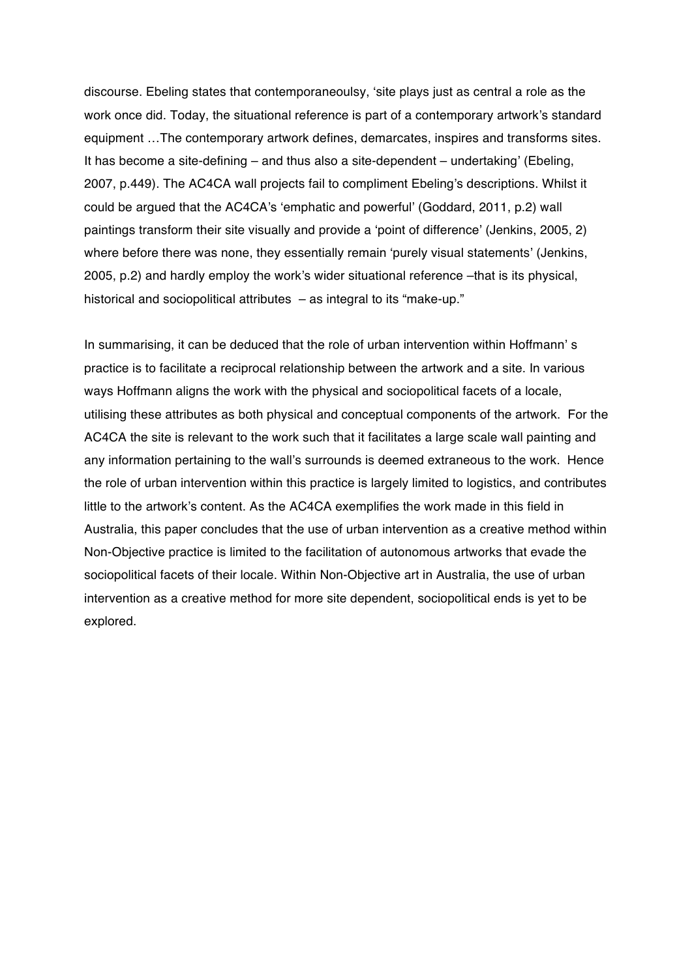discourse. Ebeling states that contemporaneoulsy, 'site plays just as central a role as the work once did. Today, the situational reference is part of a contemporary artwork's standard equipment …The contemporary artwork defines, demarcates, inspires and transforms sites. It has become a site-defining – and thus also a site-dependent – undertaking' (Ebeling, 2007, p.449). The AC4CA wall projects fail to compliment Ebeling's descriptions. Whilst it could be argued that the AC4CA's 'emphatic and powerful' (Goddard, 2011, p.2) wall paintings transform their site visually and provide a 'point of difference' (Jenkins, 2005, 2) where before there was none, they essentially remain 'purely visual statements' (Jenkins, 2005, p.2) and hardly employ the work's wider situational reference –that is its physical, historical and sociopolitical attributes – as integral to its "make-up."

In summarising, it can be deduced that the role of urban intervention within Hoffmann's practice is to facilitate a reciprocal relationship between the artwork and a site. In various ways Hoffmann aligns the work with the physical and sociopolitical facets of a locale, utilising these attributes as both physical and conceptual components of the artwork. For the AC4CA the site is relevant to the work such that it facilitates a large scale wall painting and any information pertaining to the wall's surrounds is deemed extraneous to the work. Hence the role of urban intervention within this practice is largely limited to logistics, and contributes little to the artwork's content. As the AC4CA exemplifies the work made in this field in Australia, this paper concludes that the use of urban intervention as a creative method within Non-Objective practice is limited to the facilitation of autonomous artworks that evade the sociopolitical facets of their locale. Within Non-Objective art in Australia, the use of urban intervention as a creative method for more site dependent, sociopolitical ends is yet to be explored.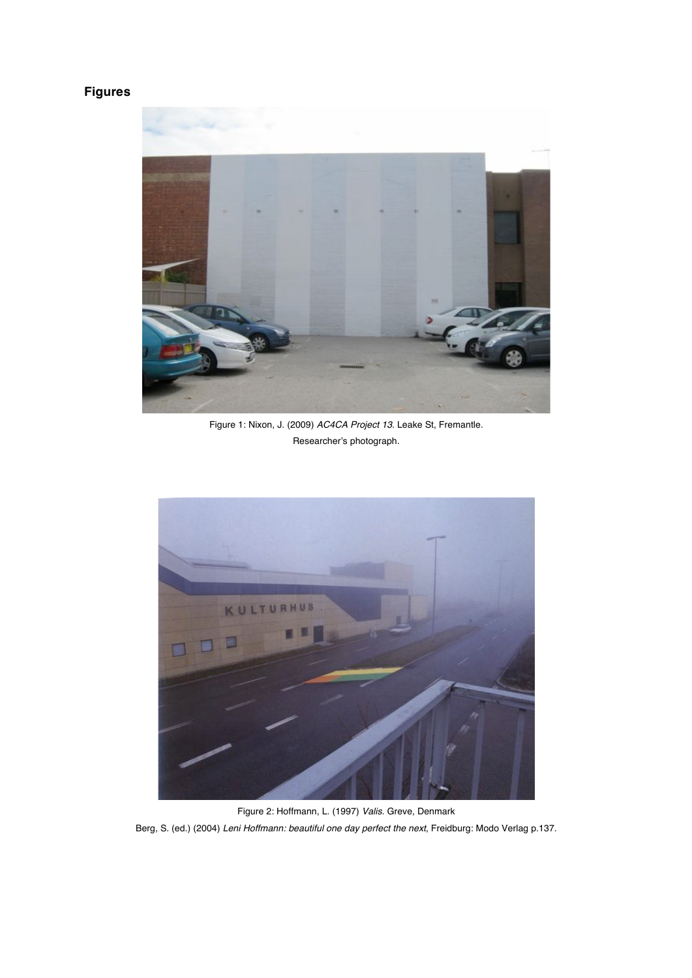## **Figures**



Figure 1: Nixon, J. (2009) *AC4CA Project 13.* Leake St, Fremantle. Researcher's photograph.



Figure 2: Hoffmann, L. (1997) *Valis.* Greve, Denmark Berg, S. (ed.) (2004) *Leni Hoffmann: beautiful one day perfect the next*, Freidburg: Modo Verlag p.137.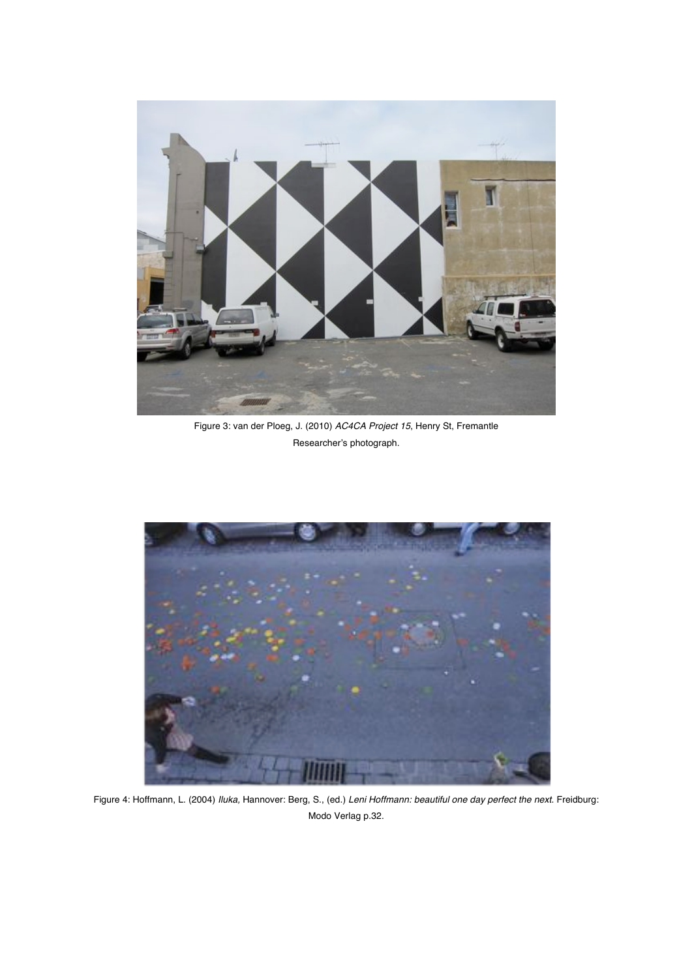

Figure 3: van der Ploeg, J. (2010) *AC4CA Project 15*, Henry St, Fremantle Researcher's photograph.



Figure 4: Hoffmann, L. (2004) *Iluka,* Hannover: Berg, S., (ed.) *Leni Hoffmann: beautiful one day perfect the next*. Freidburg: Modo Verlag p.32.